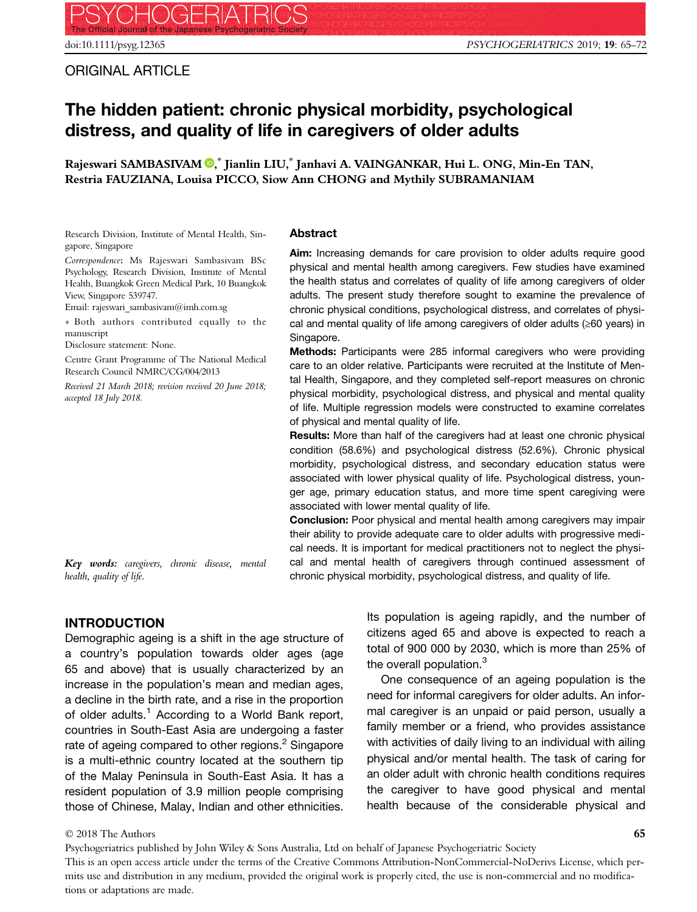## ORIGINAL ARTICLE

# The hidden patient: chronic physical morbidity, psychological distress, and quality of life in caregivers of older adults

Rajeswari SAMBASIVAM ®,\* Jianlin LIU,\* Janhavi A. VAINGANKAR, Hui L. ONG, Min-En TAN, Restria FAUZIANA, Louisa PICCO, Siow Ann CHONG and Mythily SUBRAMANIAM

Research Division, Institute of Mental Health, Singapore, Singapore

Correspondence: Ms Rajeswari Sambasivam BSc Psychology, Research Division, Institute of Mental Health, Buangkok Green Medical Park, 10 Buangkok View, Singapore 539747.

Email: rajeswari\_sambasivam@imh.com.sg

 Both authors contributed equally to the manuscript

Disclosure statement: None.

Centre Grant Programme of The National Medical Research Council NMRC/CG/004/2013

Received 21 March 2018; revision received 20 June 2018; accepted 18 July 2018.

Key words: caregivers, chronic disease, mental health, quality of life.

## Abstract

Aim: Increasing demands for care provision to older adults require good physical and mental health among caregivers. Few studies have examined the health status and correlates of quality of life among caregivers of older adults. The present study therefore sought to examine the prevalence of chronic physical conditions, psychological distress, and correlates of physical and mental quality of life among caregivers of older adults (≥60 years) in Singapore.

Methods: Participants were 285 informal caregivers who were providing care to an older relative. Participants were recruited at the Institute of Mental Health, Singapore, and they completed self-report measures on chronic physical morbidity, psychological distress, and physical and mental quality of life. Multiple regression models were constructed to examine correlates of physical and mental quality of life.

Results: More than half of the caregivers had at least one chronic physical condition (58.6%) and psychological distress (52.6%). Chronic physical morbidity, psychological distress, and secondary education status were associated with lower physical quality of life. Psychological distress, younger age, primary education status, and more time spent caregiving were associated with lower mental quality of life.

Conclusion: Poor physical and mental health among caregivers may impair their ability to provide adequate care to older adults with progressive medical needs. It is important for medical practitioners not to neglect the physical and mental health of caregivers through continued assessment of chronic physical morbidity, psychological distress, and quality of life.

INTRODUCTION

Demographic ageing is a shift in the age structure of a country's population towards older ages (age 65 and above) that is usually characterized by an increase in the population's mean and median ages, a decline in the birth rate, and a rise in the proportion of older adults.<sup>1</sup> According to a World Bank report, countries in South-East Asia are undergoing a faster rate of ageing compared to other regions.<sup>2</sup> Singapore is a multi-ethnic country located at the southern tip of the Malay Peninsula in South-East Asia. It has a resident population of 3.9 million people comprising those of Chinese, Malay, Indian and other ethnicities.

Its population is ageing rapidly, and the number of citizens aged 65 and above is expected to reach a total of 900 000 by 2030, which is more than 25% of the overall population.<sup>3</sup>

One consequence of an ageing population is the need for informal caregivers for older adults. An informal caregiver is an unpaid or paid person, usually a family member or a friend, who provides assistance with activities of daily living to an individual with ailing physical and/or mental health. The task of caring for an older adult with chronic health conditions requires the caregiver to have good physical and mental health because of the considerable physical and

#### © 2018 The Authors

Psychogeriatrics published by John Wiley & Sons Australia, Ltd on behalf of Japanese Psychogeriatric Society This is an open access article under the terms of the [Creative Commons Attribution-NonCommercial-NoDerivs](http://creativecommons.org/licenses/by-nc-nd/4.0/) License, which permits use and distribution in any medium, provided the original work is properly cited, the use is non-commercial and no modifications or adaptations are made.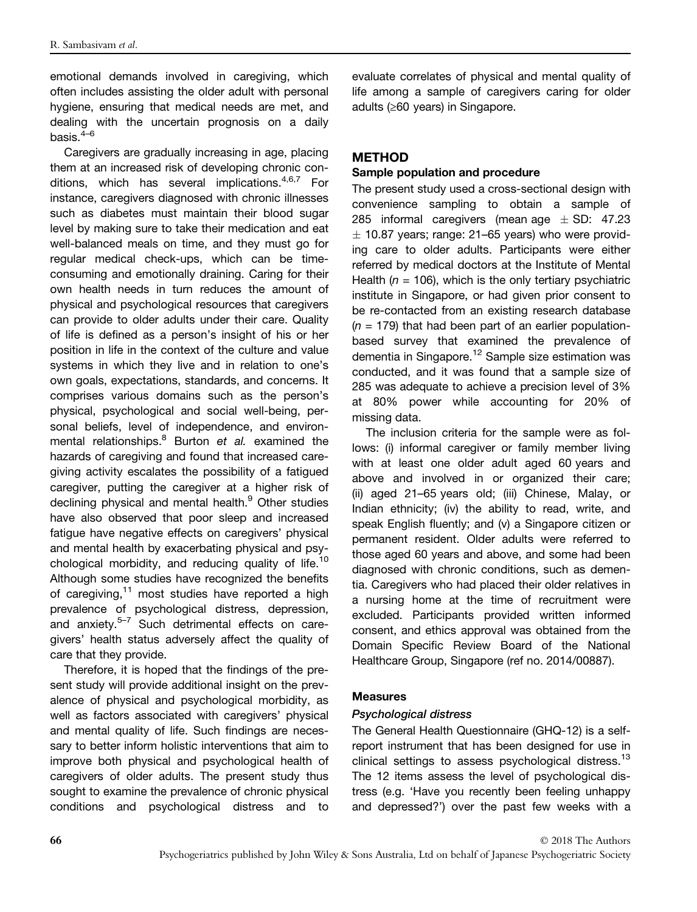emotional demands involved in caregiving, which often includes assisting the older adult with personal hygiene, ensuring that medical needs are met, and dealing with the uncertain prognosis on a daily basis. $4-6$ 

Caregivers are gradually increasing in age, placing them at an increased risk of developing chronic conditions, which has several implications.  $4,6,7$  For instance, caregivers diagnosed with chronic illnesses such as diabetes must maintain their blood sugar level by making sure to take their medication and eat well-balanced meals on time, and they must go for regular medical check-ups, which can be timeconsuming and emotionally draining. Caring for their own health needs in turn reduces the amount of physical and psychological resources that caregivers can provide to older adults under their care. Quality of life is defined as a person's insight of his or her position in life in the context of the culture and value systems in which they live and in relation to one's own goals, expectations, standards, and concerns. It comprises various domains such as the person's physical, psychological and social well-being, personal beliefs, level of independence, and environmental relationships. $8$  Burton et al. examined the hazards of caregiving and found that increased caregiving activity escalates the possibility of a fatigued caregiver, putting the caregiver at a higher risk of declining physical and mental health.<sup>9</sup> Other studies have also observed that poor sleep and increased fatigue have negative effects on caregivers' physical and mental health by exacerbating physical and psychological morbidity, and reducing quality of life.<sup>10</sup> Although some studies have recognized the benefits of caregiving, $11$  most studies have reported a high prevalence of psychological distress, depression, and anxiety. $5-7$  Such detrimental effects on caregivers' health status adversely affect the quality of care that they provide.

Therefore, it is hoped that the findings of the present study will provide additional insight on the prevalence of physical and psychological morbidity, as well as factors associated with caregivers' physical and mental quality of life. Such findings are necessary to better inform holistic interventions that aim to improve both physical and psychological health of caregivers of older adults. The present study thus sought to examine the prevalence of chronic physical conditions and psychological distress and to evaluate correlates of physical and mental quality of life among a sample of caregivers caring for older adults (≥60 years) in Singapore.

## METHOD

#### Sample population and procedure

The present study used a cross-sectional design with convenience sampling to obtain a sample of 285 informal caregivers (mean age  $\pm$  SD: 47.23  $\pm$  10.87 years; range: 21–65 years) who were providing care to older adults. Participants were either referred by medical doctors at the Institute of Mental Health ( $n = 106$ ), which is the only tertiary psychiatric institute in Singapore, or had given prior consent to be re-contacted from an existing research database  $(n = 179)$  that had been part of an earlier populationbased survey that examined the prevalence of dementia in Singapore.<sup>12</sup> Sample size estimation was conducted, and it was found that a sample size of 285 was adequate to achieve a precision level of 3% at 80% power while accounting for 20% of missing data.

The inclusion criteria for the sample were as follows: (i) informal caregiver or family member living with at least one older adult aged 60 years and above and involved in or organized their care; (ii) aged 21–65 years old; (iii) Chinese, Malay, or Indian ethnicity; (iv) the ability to read, write, and speak English fluently; and (v) a Singapore citizen or permanent resident. Older adults were referred to those aged 60 years and above, and some had been diagnosed with chronic conditions, such as dementia. Caregivers who had placed their older relatives in a nursing home at the time of recruitment were excluded. Participants provided written informed consent, and ethics approval was obtained from the Domain Specific Review Board of the National Healthcare Group, Singapore (ref no. 2014/00887).

#### Measures

## Psychological distress

The General Health Questionnaire (GHQ-12) is a selfreport instrument that has been designed for use in clinical settings to assess psychological distress.<sup>13</sup> The 12 items assess the level of psychological distress (e.g. 'Have you recently been feeling unhappy and depressed?') over the past few weeks with a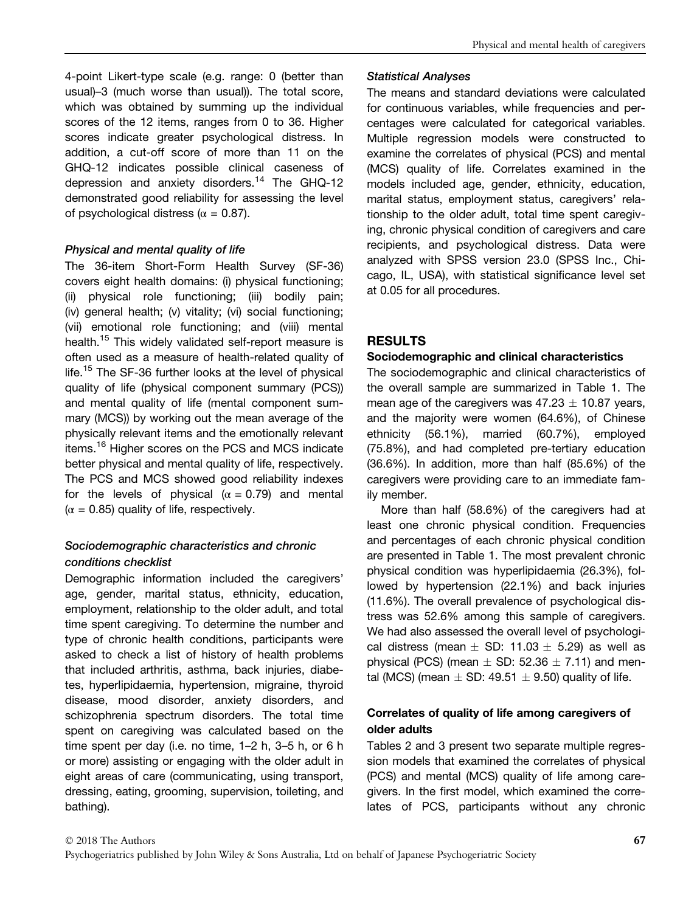4-point Likert-type scale (e.g. range: 0 (better than usual)–3 (much worse than usual)). The total score, which was obtained by summing up the individual scores of the 12 items, ranges from 0 to 36. Higher scores indicate greater psychological distress. In addition, a cut-off score of more than 11 on the GHQ-12 indicates possible clinical caseness of depression and anxiety disorders.<sup>14</sup> The GHQ-12 demonstrated good reliability for assessing the level of psychological distress ( $\alpha = 0.87$ ).

## Physical and mental quality of life

The 36-item Short-Form Health Survey (SF-36) covers eight health domains: (i) physical functioning; (ii) physical role functioning; (iii) bodily pain; (iv) general health; (v) vitality; (vi) social functioning; (vii) emotional role functioning; and (viii) mental health.<sup>15</sup> This widely validated self-report measure is often used as a measure of health-related quality of life.<sup>15</sup> The SF-36 further looks at the level of physical quality of life (physical component summary (PCS)) and mental quality of life (mental component summary (MCS)) by working out the mean average of the physically relevant items and the emotionally relevant items.<sup>16</sup> Higher scores on the PCS and MCS indicate better physical and mental quality of life, respectively. The PCS and MCS showed good reliability indexes for the levels of physical  $(\alpha = 0.79)$  and mental  $(\alpha = 0.85)$  quality of life, respectively.

## Sociodemographic characteristics and chronic conditions checklist

Demographic information included the caregivers' age, gender, marital status, ethnicity, education, employment, relationship to the older adult, and total time spent caregiving. To determine the number and type of chronic health conditions, participants were asked to check a list of history of health problems that included arthritis, asthma, back injuries, diabetes, hyperlipidaemia, hypertension, migraine, thyroid disease, mood disorder, anxiety disorders, and schizophrenia spectrum disorders. The total time spent on caregiving was calculated based on the time spent per day (i.e. no time, 1–2 h, 3–5 h, or 6 h or more) assisting or engaging with the older adult in eight areas of care (communicating, using transport, dressing, eating, grooming, supervision, toileting, and bathing).

#### Statistical Analyses

The means and standard deviations were calculated for continuous variables, while frequencies and percentages were calculated for categorical variables. Multiple regression models were constructed to examine the correlates of physical (PCS) and mental (MCS) quality of life. Correlates examined in the models included age, gender, ethnicity, education, marital status, employment status, caregivers' relationship to the older adult, total time spent caregiving, chronic physical condition of caregivers and care recipients, and psychological distress. Data were analyzed with SPSS version 23.0 (SPSS Inc., Chicago, IL, USA), with statistical significance level set at 0.05 for all procedures.

## RESULTS

#### Sociodemographic and clinical characteristics

The sociodemographic and clinical characteristics of the overall sample are summarized in Table 1. The mean age of the caregivers was  $47.23 \pm 10.87$  years, and the majority were women (64.6%), of Chinese ethnicity (56.1%), married (60.7%), employed (75.8%), and had completed pre-tertiary education (36.6%). In addition, more than half (85.6%) of the caregivers were providing care to an immediate family member.

More than half (58.6%) of the caregivers had at least one chronic physical condition. Frequencies and percentages of each chronic physical condition are presented in Table 1. The most prevalent chronic physical condition was hyperlipidaemia (26.3%), followed by hypertension (22.1%) and back injuries (11.6%). The overall prevalence of psychological distress was 52.6% among this sample of caregivers. We had also assessed the overall level of psychological distress (mean  $\pm$  SD: 11.03  $\pm$  5.29) as well as physical (PCS) (mean  $\pm$  SD: 52.36  $\pm$  7.11) and mental (MCS) (mean  $\pm$  SD: 49.51  $\pm$  9.50) quality of life.

## Correlates of quality of life among caregivers of older adults

Tables 2 and 3 present two separate multiple regression models that examined the correlates of physical (PCS) and mental (MCS) quality of life among caregivers. In the first model, which examined the correlates of PCS, participants without any chronic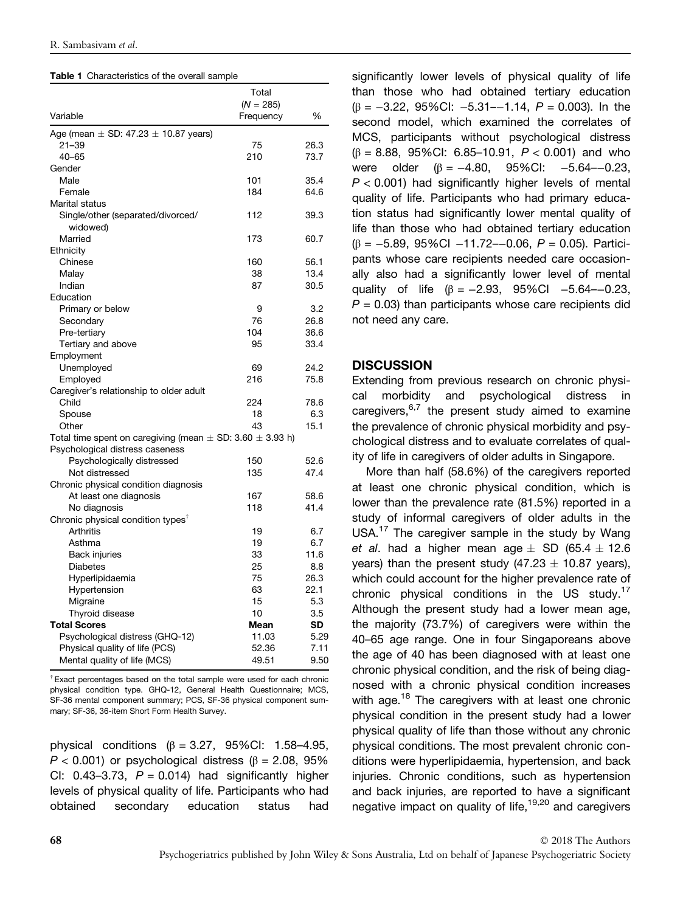| Table 1 Characteristics of the overall sample |  |
|-----------------------------------------------|--|
|-----------------------------------------------|--|

|                                                                   | Total       |      |  |
|-------------------------------------------------------------------|-------------|------|--|
|                                                                   | $(N = 285)$ |      |  |
| Variable                                                          | Frequency   | %    |  |
| Age (mean $\pm$ SD: 47.23 $\pm$ 10.87 years)                      |             |      |  |
| $21 - 39$                                                         | 75          | 26.3 |  |
| $40 - 65$                                                         | 210         | 73.7 |  |
| Gender                                                            |             |      |  |
| Male                                                              | 101         | 35.4 |  |
| Female                                                            | 184         | 64.6 |  |
| Marital status                                                    |             |      |  |
| Single/other (separated/divorced/                                 | 112         | 39.3 |  |
| widowed)                                                          |             |      |  |
| Married                                                           | 173         | 60.7 |  |
| Ethnicity                                                         |             |      |  |
| Chinese                                                           | 160         | 56.1 |  |
| Malay                                                             | 38          | 13.4 |  |
| Indian                                                            | 87          | 30.5 |  |
| Education                                                         |             |      |  |
| Primary or below                                                  | 9           | 3.2  |  |
| Secondary                                                         | 76          | 26.8 |  |
| Pre-tertiary                                                      | 104         | 36.6 |  |
| Tertiary and above                                                | 95          | 33.4 |  |
| Employment                                                        |             |      |  |
| Unemployed                                                        | 69          | 24.2 |  |
| Employed                                                          | 216         | 75.8 |  |
| Caregiver's relationship to older adult                           |             |      |  |
| Child                                                             | 224         | 78.6 |  |
| Spouse                                                            | 18          | 6.3  |  |
| Other                                                             | 43          | 15.1 |  |
| Total time spent on caregiving (mean $\pm$ SD: 3.60 $\pm$ 3.93 h) |             |      |  |
| Psychological distress caseness                                   |             |      |  |
| Psychologically distressed                                        | 150         | 52.6 |  |
| Not distressed                                                    | 135         | 47.4 |  |
| Chronic physical condition diagnosis                              |             |      |  |
| At least one diagnosis                                            | 167         | 58.6 |  |
| No diagnosis                                                      | 118         | 41.4 |  |
| Chronic physical condition types <sup>†</sup>                     |             |      |  |
| Arthritis                                                         | 19          | 6.7  |  |
| Asthma                                                            | 19          | 6.7  |  |
| <b>Back injuries</b>                                              | 33          | 11.6 |  |
| <b>Diabetes</b>                                                   | 25          | 8.8  |  |
| Hyperlipidaemia                                                   | 75          | 26.3 |  |
| Hypertension                                                      | 63          | 22.1 |  |
| Migraine                                                          | 15          | 5.3  |  |
| Thyroid disease                                                   | 10          | 3.5  |  |
| <b>Total Scores</b>                                               | Mean        | SD   |  |
| Psychological distress (GHQ-12)                                   | 11.03       | 5.29 |  |
| Physical quality of life (PCS)                                    | 52.36       | 7.11 |  |
| Mental quality of life (MCS)                                      | 49.51       | 9.50 |  |

† Exact percentages based on the total sample were used for each chronic physical condition type. GHQ-12, General Health Questionnaire; MCS, SF-36 mental component summary; PCS, SF-36 physical component summary; SF-36, 36-item Short Form Health Survey.

physical conditions ( $β = 3.27$ , 95%CI: 1.58-4.95,  $P < 0.001$ ) or psychological distress ( $\beta = 2.08$ , 95% CI:  $0.43-3.73$ ,  $P = 0.014$ ) had significantly higher levels of physical quality of life. Participants who had obtained secondary education status had significantly lower levels of physical quality of life than those who had obtained tertiary education  $(\beta = -3.22, 95\%$ CI:  $-5.31 - -1.14, P = 0.003$ ). In the second model, which examined the correlates of MCS, participants without psychological distress (β = 8.88, 95%CI: 6.85–10.91, P < 0.001) and who were older  $(\beta = -4.80, 95\%$ CI:  $-5.64 - 0.23$  $P < 0.001$ ) had significantly higher levels of mental quality of life. Participants who had primary education status had significantly lower mental quality of life than those who had obtained tertiary education (β = −5.89, 95%CI −11.72–−0.06, P = 0.05). Participants whose care recipients needed care occasionally also had a significantly lower level of mental quality of life ( $\beta = -2.93$ , 95%Cl  $-5.64 - 0.23$ ,  $P = 0.03$ ) than participants whose care recipients did not need any care.

## **DISCUSSION**

Extending from previous research on chronic physical morbidity and psychological distress in caregivers,  $6,7$  the present study aimed to examine the prevalence of chronic physical morbidity and psychological distress and to evaluate correlates of quality of life in caregivers of older adults in Singapore.

More than half (58.6%) of the caregivers reported at least one chronic physical condition, which is lower than the prevalence rate (81.5%) reported in a study of informal caregivers of older adults in the USA.<sup>17</sup> The caregiver sample in the study by Wang et al. had a higher mean age  $\pm$  SD (65.4  $\pm$  12.6 years) than the present study (47.23  $\pm$  10.87 years), which could account for the higher prevalence rate of chronic physical conditions in the US study.<sup>17</sup> Although the present study had a lower mean age, the majority (73.7%) of caregivers were within the 40–65 age range. One in four Singaporeans above the age of 40 has been diagnosed with at least one chronic physical condition, and the risk of being diagnosed with a chronic physical condition increases with age.<sup>18</sup> The caregivers with at least one chronic physical condition in the present study had a lower physical quality of life than those without any chronic physical conditions. The most prevalent chronic conditions were hyperlipidaemia, hypertension, and back injuries. Chronic conditions, such as hypertension and back injuries, are reported to have a significant negative impact on quality of life,<sup>19,20</sup> and caregivers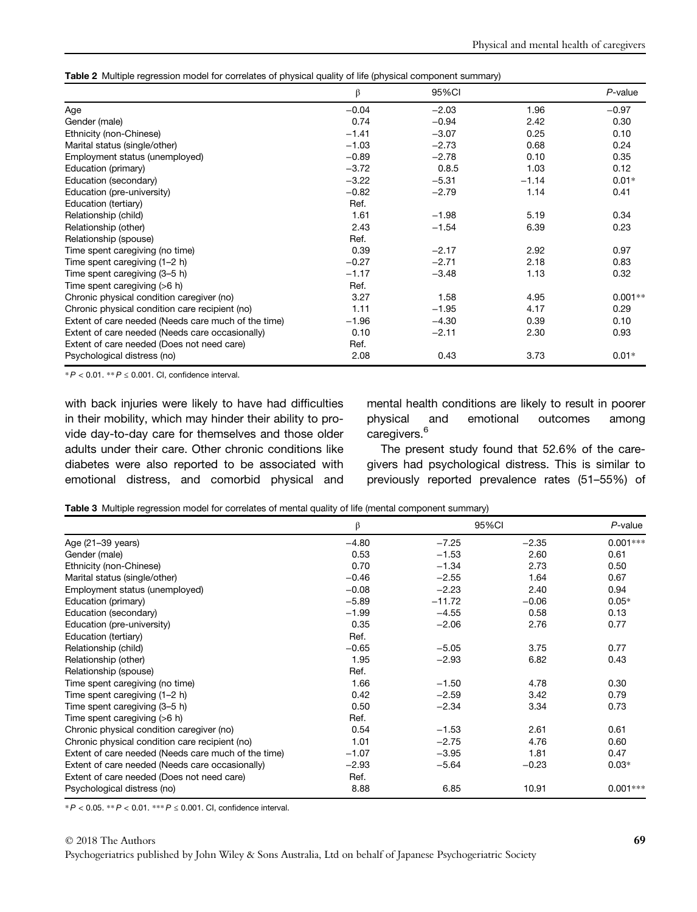|  |  | Table 2 Multiple regression model for correlates of physical quality of life (physical component summary) |  |
|--|--|-----------------------------------------------------------------------------------------------------------|--|
|  |  |                                                                                                           |  |

|                                                     | β       | 95%CI   |         | $P$ -value |
|-----------------------------------------------------|---------|---------|---------|------------|
| Age                                                 | $-0.04$ | $-2.03$ | 1.96    | $-0.97$    |
| Gender (male)                                       | 0.74    | $-0.94$ | 2.42    | 0.30       |
| Ethnicity (non-Chinese)                             | $-1.41$ | $-3.07$ | 0.25    | 0.10       |
| Marital status (single/other)                       | $-1.03$ | $-2.73$ | 0.68    | 0.24       |
| Employment status (unemployed)                      | $-0.89$ | $-2.78$ | 0.10    | 0.35       |
| Education (primary)                                 | $-3.72$ | 0.8.5   | 1.03    | 0.12       |
| Education (secondary)                               | $-3.22$ | $-5.31$ | $-1.14$ | $0.01*$    |
| Education (pre-university)                          | $-0.82$ | $-2.79$ | 1.14    | 0.41       |
| Education (tertiary)                                | Ref.    |         |         |            |
| Relationship (child)                                | 1.61    | $-1.98$ | 5.19    | 0.34       |
| Relationship (other)                                | 2.43    | $-1.54$ | 6.39    | 0.23       |
| Relationship (spouse)                               | Ref.    |         |         |            |
| Time spent caregiving (no time)                     | 0.39    | $-2.17$ | 2.92    | 0.97       |
| Time spent caregiving (1-2 h)                       | $-0.27$ | $-2.71$ | 2.18    | 0.83       |
| Time spent caregiving (3-5 h)                       | $-1.17$ | $-3.48$ | 1.13    | 0.32       |
| Time spent caregiving (>6 h)                        | Ref.    |         |         |            |
| Chronic physical condition caregiver (no)           | 3.27    | 1.58    | 4.95    | $0.001**$  |
| Chronic physical condition care recipient (no)      | 1.11    | $-1.95$ | 4.17    | 0.29       |
| Extent of care needed (Needs care much of the time) | $-1.96$ | $-4.30$ | 0.39    | 0.10       |
| Extent of care needed (Needs care occasionally)     | 0.10    | $-2.11$ | 2.30    | 0.93       |
| Extent of care needed (Does not need care)          | Ref.    |         |         |            |
| Psychological distress (no)                         | 2.08    | 0.43    | 3.73    | $0.01*$    |

 $*P < 0.01$ .  $*P \le 0.001$ . Cl, confidence interval.

with back injuries were likely to have had difficulties in their mobility, which may hinder their ability to provide day-to-day care for themselves and those older adults under their care. Other chronic conditions like diabetes were also reported to be associated with emotional distress, and comorbid physical and mental health conditions are likely to result in poorer physical and emotional outcomes among caregivers.<sup>6</sup>

The present study found that 52.6% of the caregivers had psychological distress. This is similar to previously reported prevalence rates (51–55%) of

Table 3 Multiple regression model for correlates of mental quality of life (mental component summary)

|                                                     | β<br>$-4.80$ | 95%CI    |         | P-value    |  |
|-----------------------------------------------------|--------------|----------|---------|------------|--|
| Age (21-39 years)                                   |              | $-7.25$  | $-2.35$ | $0.001***$ |  |
| Gender (male)                                       | 0.53         | $-1.53$  | 2.60    | 0.61       |  |
| Ethnicity (non-Chinese)                             | 0.70         | $-1.34$  | 2.73    | 0.50       |  |
| Marital status (single/other)                       | $-0.46$      | $-2.55$  | 1.64    | 0.67       |  |
| Employment status (unemployed)                      | $-0.08$      | $-2.23$  | 2.40    | 0.94       |  |
| Education (primary)                                 | $-5.89$      | $-11.72$ | $-0.06$ | $0.05*$    |  |
| Education (secondary)                               | $-1.99$      | $-4.55$  | 0.58    | 0.13       |  |
| Education (pre-university)                          | 0.35         | $-2.06$  | 2.76    | 0.77       |  |
| Education (tertiary)                                | Ref.         |          |         |            |  |
| Relationship (child)                                | $-0.65$      | $-5.05$  | 3.75    | 0.77       |  |
| Relationship (other)                                | 1.95         | $-2.93$  | 6.82    | 0.43       |  |
| Relationship (spouse)                               | Ref.         |          |         |            |  |
| Time spent caregiving (no time)                     | 1.66         | $-1.50$  | 4.78    | 0.30       |  |
| Time spent caregiving (1-2 h)                       | 0.42         | $-2.59$  | 3.42    | 0.79       |  |
| Time spent caregiving (3-5 h)                       | 0.50         | $-2.34$  | 3.34    | 0.73       |  |
| Time spent caregiving (>6 h)                        | Ref.         |          |         |            |  |
| Chronic physical condition caregiver (no)           | 0.54         | $-1.53$  | 2.61    | 0.61       |  |
| Chronic physical condition care recipient (no)      | 1.01         | $-2.75$  | 4.76    | 0.60       |  |
| Extent of care needed (Needs care much of the time) | $-1.07$      | $-3.95$  | 1.81    | 0.47       |  |
| Extent of care needed (Needs care occasionally)     | $-2.93$      | $-5.64$  | $-0.23$ | $0.03*$    |  |
| Extent of care needed (Does not need care)          | Ref.         |          |         |            |  |
| Psychological distress (no)                         | 8.88         | 6.85     | 10.91   | $0.001***$ |  |

\* P < 0.05. \*\* P < 0.01. \*\*\* P ≤ 0.001. CI, confidence interval.

© 2018 The Authors

Psychogeriatrics published by John Wiley & Sons Australia, Ltd on behalf of Japanese Psychogeriatric Society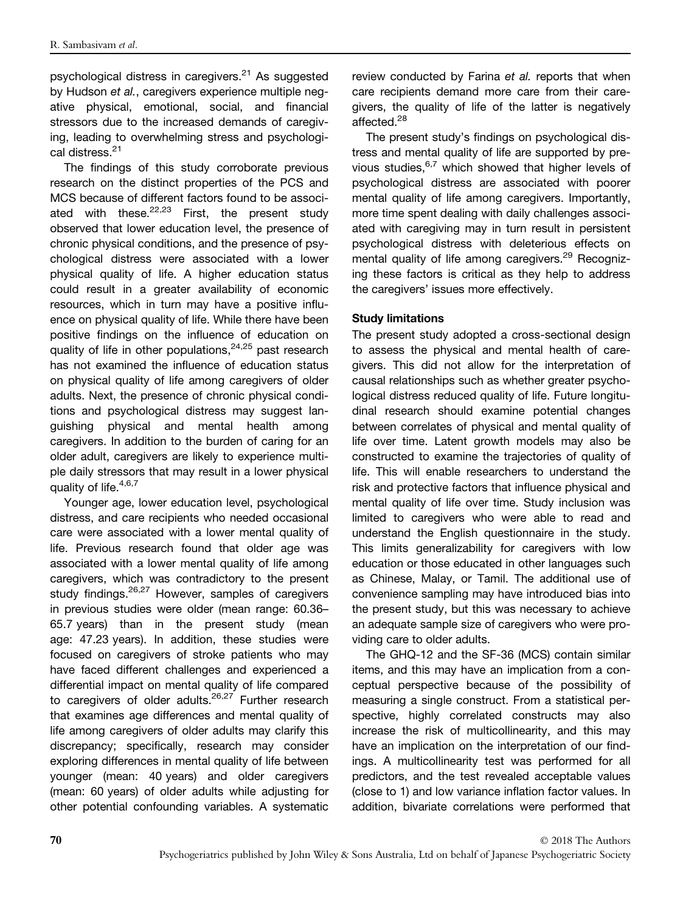psychological distress in caregivers.<sup>21</sup> As suggested by Hudson et al., caregivers experience multiple negative physical, emotional, social, and financial stressors due to the increased demands of caregiving, leading to overwhelming stress and psychological distress.<sup>21</sup>

The findings of this study corroborate previous research on the distinct properties of the PCS and MCS because of different factors found to be associated with these. $22,23$  First, the present study observed that lower education level, the presence of chronic physical conditions, and the presence of psychological distress were associated with a lower physical quality of life. A higher education status could result in a greater availability of economic resources, which in turn may have a positive influence on physical quality of life. While there have been positive findings on the influence of education on quality of life in other populations,  $24,25$  past research has not examined the influence of education status on physical quality of life among caregivers of older adults. Next, the presence of chronic physical conditions and psychological distress may suggest languishing physical and mental health among caregivers. In addition to the burden of caring for an older adult, caregivers are likely to experience multiple daily stressors that may result in a lower physical quality of life. $4,6,7$ 

Younger age, lower education level, psychological distress, and care recipients who needed occasional care were associated with a lower mental quality of life. Previous research found that older age was associated with a lower mental quality of life among caregivers, which was contradictory to the present study findings.  $26,27$  However, samples of caregivers in previous studies were older (mean range: 60.36– 65.7 years) than in the present study (mean age: 47.23 years). In addition, these studies were focused on caregivers of stroke patients who may have faced different challenges and experienced a differential impact on mental quality of life compared to caregivers of older adults.<sup>26,27</sup> Further research that examines age differences and mental quality of life among caregivers of older adults may clarify this discrepancy; specifically, research may consider exploring differences in mental quality of life between younger (mean: 40 years) and older caregivers (mean: 60 years) of older adults while adjusting for other potential confounding variables. A systematic

review conducted by Farina et al. reports that when care recipients demand more care from their caregivers, the quality of life of the latter is negatively affected.<sup>28</sup>

The present study's findings on psychological distress and mental quality of life are supported by previous studies,  $6,7$  which showed that higher levels of psychological distress are associated with poorer mental quality of life among caregivers. Importantly, more time spent dealing with daily challenges associated with caregiving may in turn result in persistent psychological distress with deleterious effects on mental quality of life among caregivers.<sup>29</sup> Recognizing these factors is critical as they help to address the caregivers' issues more effectively.

#### Study limitations

The present study adopted a cross-sectional design to assess the physical and mental health of caregivers. This did not allow for the interpretation of causal relationships such as whether greater psychological distress reduced quality of life. Future longitudinal research should examine potential changes between correlates of physical and mental quality of life over time. Latent growth models may also be constructed to examine the trajectories of quality of life. This will enable researchers to understand the risk and protective factors that influence physical and mental quality of life over time. Study inclusion was limited to caregivers who were able to read and understand the English questionnaire in the study. This limits generalizability for caregivers with low education or those educated in other languages such as Chinese, Malay, or Tamil. The additional use of convenience sampling may have introduced bias into the present study, but this was necessary to achieve an adequate sample size of caregivers who were providing care to older adults.

The GHQ-12 and the SF-36 (MCS) contain similar items, and this may have an implication from a conceptual perspective because of the possibility of measuring a single construct. From a statistical perspective, highly correlated constructs may also increase the risk of multicollinearity, and this may have an implication on the interpretation of our findings. A multicollinearity test was performed for all predictors, and the test revealed acceptable values (close to 1) and low variance inflation factor values. In addition, bivariate correlations were performed that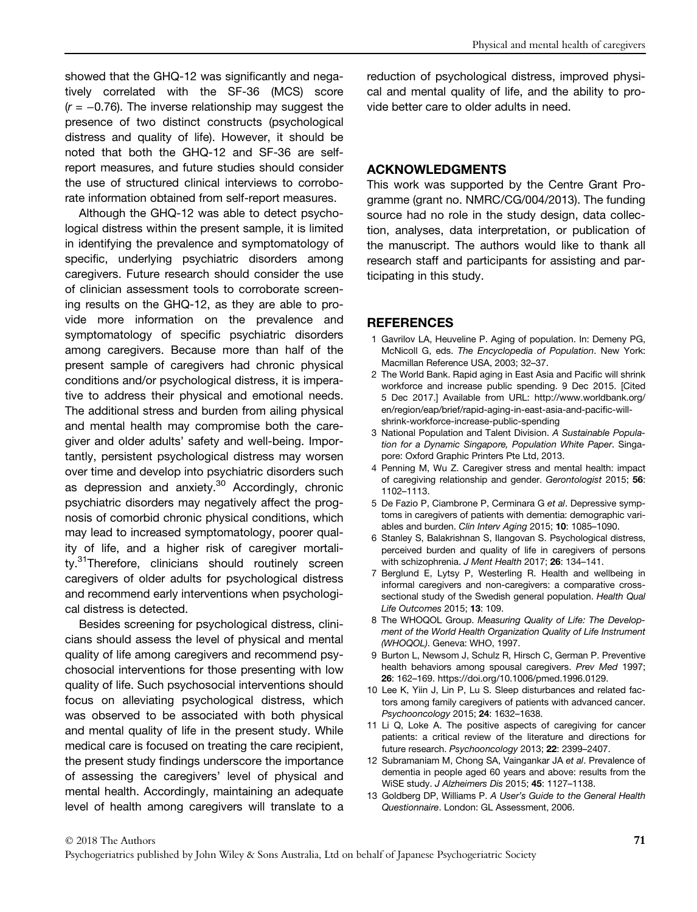showed that the GHQ-12 was significantly and negatively correlated with the SF-36 (MCS) score  $(r = -0.76)$ . The inverse relationship may suggest the presence of two distinct constructs (psychological distress and quality of life). However, it should be noted that both the GHQ-12 and SF-36 are selfreport measures, and future studies should consider the use of structured clinical interviews to corroborate information obtained from self-report measures.

Although the GHQ-12 was able to detect psychological distress within the present sample, it is limited in identifying the prevalence and symptomatology of specific, underlying psychiatric disorders among caregivers. Future research should consider the use of clinician assessment tools to corroborate screening results on the GHQ-12, as they are able to provide more information on the prevalence and symptomatology of specific psychiatric disorders among caregivers. Because more than half of the present sample of caregivers had chronic physical conditions and/or psychological distress, it is imperative to address their physical and emotional needs. The additional stress and burden from ailing physical and mental health may compromise both the caregiver and older adults' safety and well-being. Importantly, persistent psychological distress may worsen over time and develop into psychiatric disorders such as depression and anxiety.<sup>30</sup> Accordingly, chronic psychiatric disorders may negatively affect the prognosis of comorbid chronic physical conditions, which may lead to increased symptomatology, poorer quality of life, and a higher risk of caregiver mortality.<sup>31</sup>Therefore, clinicians should routinely screen caregivers of older adults for psychological distress and recommend early interventions when psychological distress is detected.

Besides screening for psychological distress, clinicians should assess the level of physical and mental quality of life among caregivers and recommend psychosocial interventions for those presenting with low quality of life. Such psychosocial interventions should focus on alleviating psychological distress, which was observed to be associated with both physical and mental quality of life in the present study. While medical care is focused on treating the care recipient, the present study findings underscore the importance of assessing the caregivers' level of physical and mental health. Accordingly, maintaining an adequate level of health among caregivers will translate to a reduction of psychological distress, improved physical and mental quality of life, and the ability to provide better care to older adults in need.

#### ACKNOWLEDGMENTS

This work was supported by the Centre Grant Programme (grant no. NMRC/CG/004/2013). The funding source had no role in the study design, data collection, analyses, data interpretation, or publication of the manuscript. The authors would like to thank all research staff and participants for assisting and participating in this study.

#### **REFERENCES**

- 1 Gavrilov LA, Heuveline P. Aging of population. In: Demeny PG, McNicoll G, eds. The Encyclopedia of Population. New York: Macmillan Reference USA, 2003; 32–37.
- 2 The World Bank. Rapid aging in East Asia and Pacific will shrink workforce and increase public spending. 9 Dec 2015. [Cited 5 Dec 2017.] Available from URL: [http://www.worldbank.org/](http://www.worldbank.org/en/region/eap/brief/rapid-aging-in-east-asia-and-pacific-will-shrink-workforce-increase-public-spending) [en/region/eap/brief/rapid-aging-in-east-asia-and-paci](http://www.worldbank.org/en/region/eap/brief/rapid-aging-in-east-asia-and-pacific-will-shrink-workforce-increase-public-spending)fic-will[shrink-workforce-increase-public-spending](http://www.worldbank.org/en/region/eap/brief/rapid-aging-in-east-asia-and-pacific-will-shrink-workforce-increase-public-spending)
- 3 National Population and Talent Division. A Sustainable Population for a Dynamic Singapore, Population White Paper. Singapore: Oxford Graphic Printers Pte Ltd, 2013.
- 4 Penning M, Wu Z. Caregiver stress and mental health: impact of caregiving relationship and gender. Gerontologist 2015; 56: 1102–1113.
- 5 De Fazio P, Ciambrone P, Cerminara G et al. Depressive symptoms in caregivers of patients with dementia: demographic variables and burden. Clin Interv Aging 2015; 10: 1085–1090.
- 6 Stanley S, Balakrishnan S, Ilangovan S. Psychological distress, perceived burden and quality of life in caregivers of persons with schizophrenia. J Ment Health 2017; 26: 134-141.
- 7 Berglund E, Lytsy P, Westerling R. Health and wellbeing in informal caregivers and non-caregivers: a comparative crosssectional study of the Swedish general population. Health Qual Life Outcomes 2015; 13: 109.
- 8 The WHOQOL Group. Measuring Quality of Life: The Development of the World Health Organization Quality of Life Instrument (WHOQOL). Geneva: WHO, 1997.
- 9 Burton L, Newsom J, Schulz R, Hirsch C, German P. Preventive health behaviors among spousal caregivers. Prev Med 1997; 26: 162–169. [https://doi.org/10.1006/pmed.1996.0129.](https://doi.org/10.1006/pmed.1996.0129)
- 10 Lee K, Yiin J, Lin P, Lu S. Sleep disturbances and related factors among family caregivers of patients with advanced cancer. Psychooncology 2015; 24: 1632–1638.
- 11 Li Q, Loke A. The positive aspects of caregiving for cancer patients: a critical review of the literature and directions for future research. Psychooncology 2013; 22: 2399–2407.
- 12 Subramaniam M, Chong SA, Vaingankar JA et al. Prevalence of dementia in people aged 60 years and above: results from the WiSE study. J Alzheimers Dis 2015; 45: 1127–1138.
- 13 Goldberg DP, Williams P. A User's Guide to the General Health Questionnaire. London: GL Assessment, 2006.